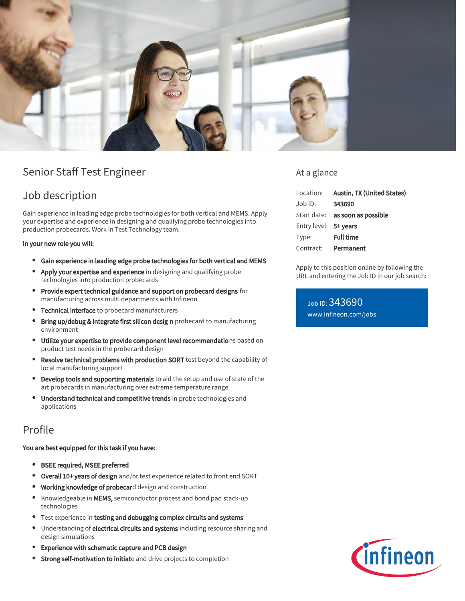

# Senior Staff Test Engineer

# Job description

Gain experience in leading edge probe technologies for both vertical and MEMS. Apply your expertise and experience in designing and qualifying probe technologies into production probecards. Work in Test Technology team.

### In your new role you will:

- Gain experience in leading edge probe technologies for both vertical and MEMS
- Apply your expertise and experience in designing and qualifying probe technologies into production probecards
- Provide expert technical guidance and support on probecard designs for manufacturing across multi departments with Infineon
- Technical interface to probecard manufacturers
- Bring up/debug & integrate first silicon desig n probecard to manufacturing environment
- Utilize your expertise to provide component level recommendations based on product test needs in the probecard design
- Resolve technical problems with production SORT test beyond the capability of  $\bullet$ local manufacturing support
- Develop tools and supporting materials to aid the setup and use of state of the art probecards in manufacturing over extreme temperature range
- Understand technical and competitive trends in probe technologies and applications

## Profile

### You are best equipped for this task if you have:

- BSEE required, MSEE preferred
- **Overall 10+ years of design** and/or test experience related to front end SORT
- **Working knowledge of probecar**d design and construction
- $\bullet$ Knowledgeable in MEMS, semiconductor process and bond pad stack-up technologies
- **•** Test experience in testing and debugging complex circuits and systems
- Understanding of electrical circuits and systems including resource sharing and  $\bullet$ design simulations
- Experience with schematic capture and PCB design
- Strong self-motivation to initiate and drive projects to completion

## At a glance

| Location:             | Austin, TX (United States)             |
|-----------------------|----------------------------------------|
| $Job$ ID:             | 343690                                 |
|                       | Start date: <b>as soon as possible</b> |
| Entry level: 5+ years |                                        |
| Type:                 | <b>Full time</b>                       |
| Contract:             | Permanent                              |

Apply to this position online by following the URL and entering the Job ID in our job search:

Job ID: 343690 [www.infineon.com/jobs](https://www.infineon.com/jobs)

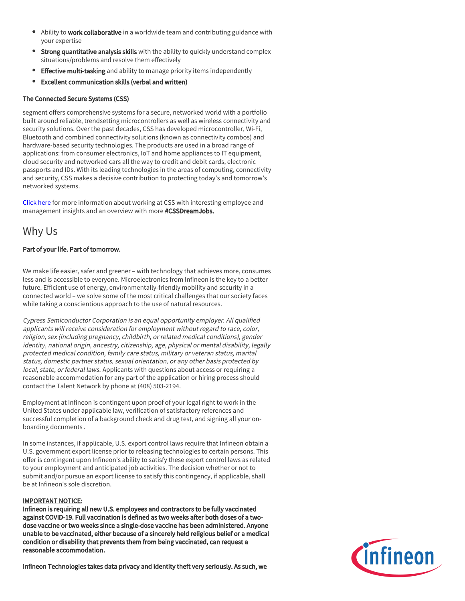- Ability to work collaborative in a worldwide team and contributing guidance with your expertise
- **Strong quantitative analysis skills** with the ability to quickly understand complex situations/problems and resolve them effectively
- Effective multi-tasking and ability to manage priority items independently
- Excellent communication skills (verbal and written)  $\bullet$

## The Connected Secure Systems (CSS)

segment offers comprehensive systems for a secure, networked world with a portfolio built around reliable, trendsetting microcontrollers as well as wireless connectivity and security solutions. Over the past decades, CSS has developed microcontroller, Wi-Fi, Bluetooth and combined connectivity solutions (known as connectivity combos) and hardware-based security technologies. The products are used in a broad range of applications: from consumer electronics, IoT and home appliances to IT equipment, cloud security and networked cars all the way to credit and debit cards, electronic passports and IDs. With its leading technologies in the areas of computing, connectivity and security, CSS makes a decisive contribution to protecting today's and tomorrow's networked systems.

[Click here](https://www.infineon.com/cms/en/careers/working-at-infineon/cssdreamjob/) for more information about working at CSS with interesting employee and management insights and an overview with more #CSSDreamJobs.

## Why Us

## Part of your life. Part of tomorrow.

We make life easier, safer and greener – with technology that achieves more, consumes less and is accessible to everyone. Microelectronics from Infineon is the key to a better future. Efficient use of energy, environmentally-friendly mobility and security in a connected world – we solve some of the most critical challenges that our society faces while taking a conscientious approach to the use of natural resources.

Cypress Semiconductor Corporation is an equal opportunity employer. All qualified applicants will receive consideration for employment without regard to race, color, religion, sex (including pregnancy, childbirth, or related medical conditions), gender identity, national origin, ancestry, citizenship, age, physical or mental disability, legally protected medical condition, family care status, military or veteran status, marital status, domestic partner status, sexual orientation, or any other basis protected by local, state, or federal laws. Applicants with questions about access or requiring a reasonable accommodation for any part of the application or hiring process should contact the Talent Network by phone at (408) 503-2194.

Employment at Infineon is contingent upon proof of your legal right to work in the United States under applicable law, verification of satisfactory references and successful completion of a background check and drug test, and signing all your onboarding documents .

In some instances, if applicable, U.S. export control laws require that Infineon obtain a U.S. government export license prior to releasing technologies to certain persons. This offer is contingent upon Infineon's ability to satisfy these export control laws as related to your employment and anticipated job activities. The decision whether or not to submit and/or pursue an export license to satisfy this contingency, if applicable, shall be at Infineon's sole discretion.

### IMPORTANT NOTICE:

Infineon is requiring all new U.S. employees and contractors to be fully vaccinated against COVID-19. Full vaccination is defined as two weeks after both doses of a twodose vaccine or two weeks since a single-dose vaccine has been administered. Anyone unable to be vaccinated, either because of a sincerely held religious belief or a medical condition or disability that prevents them from being vaccinated, can request a reasonable accommodation.